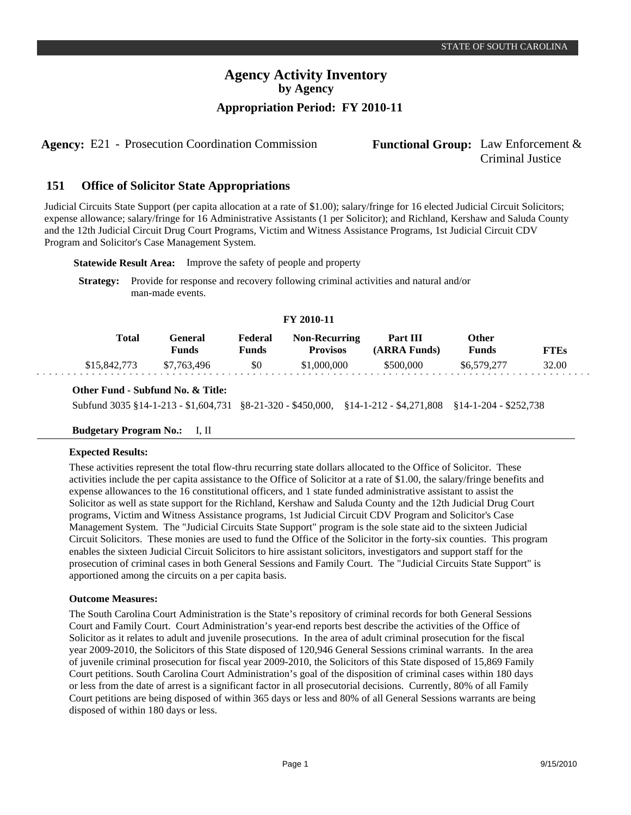# **Agency Activity Inventory by Agency Appropriation Period: FY 2010-11**

**Agency:** E21 - Prosecution Coordination Commission **Functional Group:** Law Enforcement &

# Criminal Justice

#### **Office of Solicitor State Appropriations 151**

Judicial Circuits State Support (per capita allocation at a rate of \$1.00); salary/fringe for 16 elected Judicial Circuit Solicitors; expense allowance; salary/fringe for 16 Administrative Assistants (1 per Solicitor); and Richland, Kershaw and Saluda County and the 12th Judicial Circuit Drug Court Programs, Victim and Witness Assistance Programs, 1st Judicial Circuit CDV Program and Solicitor's Case Management System.

**Statewide Result Area:** Improve the safety of people and property

**Strategy:** Provide for response and recovery following criminal activities and natural and/or man-made events.

#### **FY 2010-11**

| Total        | General<br>Funds | Federal<br>Funds | <b>Non-Recurring</b><br><b>Provisos</b> | Part III<br>(ARRA Funds) | Other<br>Funds | <b>FTEs</b> |
|--------------|------------------|------------------|-----------------------------------------|--------------------------|----------------|-------------|
| \$15,842,773 | \$7.763.496      | \$0              | \$1,000,000                             | \$500,000                | \$6,579,277    | 32.00       |

#### **Other Fund - Subfund No. & Title:**

Subfund 3035 §14-1-213 - \$1,604,731§8-21-320 - \$450,000, §14-1-212 - \$4,271,808 §14-1-204 - \$252,738

## **Budgetary Program No.:** I, II

#### **Expected Results:**

These activities represent the total flow-thru recurring state dollars allocated to the Office of Solicitor. These activities include the per capita assistance to the Office of Solicitor at a rate of \$1.00, the salary/fringe benefits and expense allowances to the 16 constitutional officers, and 1 state funded administrative assistant to assist the Solicitor as well as state support for the Richland, Kershaw and Saluda County and the 12th Judicial Drug Court programs, Victim and Witness Assistance programs, 1st Judicial Circuit CDV Program and Solicitor's Case Management System. The "Judicial Circuits State Support" program is the sole state aid to the sixteen Judicial Circuit Solicitors. These monies are used to fund the Office of the Solicitor in the forty-six counties. This program enables the sixteen Judicial Circuit Solicitors to hire assistant solicitors, investigators and support staff for the prosecution of criminal cases in both General Sessions and Family Court. The "Judicial Circuits State Support" is apportioned among the circuits on a per capita basis.

#### **Outcome Measures:**

The South Carolina Court Administration is the State's repository of criminal records for both General Sessions Court and Family Court. Court Administration's year-end reports best describe the activities of the Office of Solicitor as it relates to adult and juvenile prosecutions. In the area of adult criminal prosecution for the fiscal year 2009-2010, the Solicitors of this State disposed of 120,946 General Sessions criminal warrants. In the area of juvenile criminal prosecution for fiscal year 2009-2010, the Solicitors of this State disposed of 15,869 Family Court petitions. South Carolina Court Administration's goal of the disposition of criminal cases within 180 days or less from the date of arrest is a significant factor in all prosecutorial decisions. Currently, 80% of all Family Court petitions are being disposed of within 365 days or less and 80% of all General Sessions warrants are being disposed of within 180 days or less.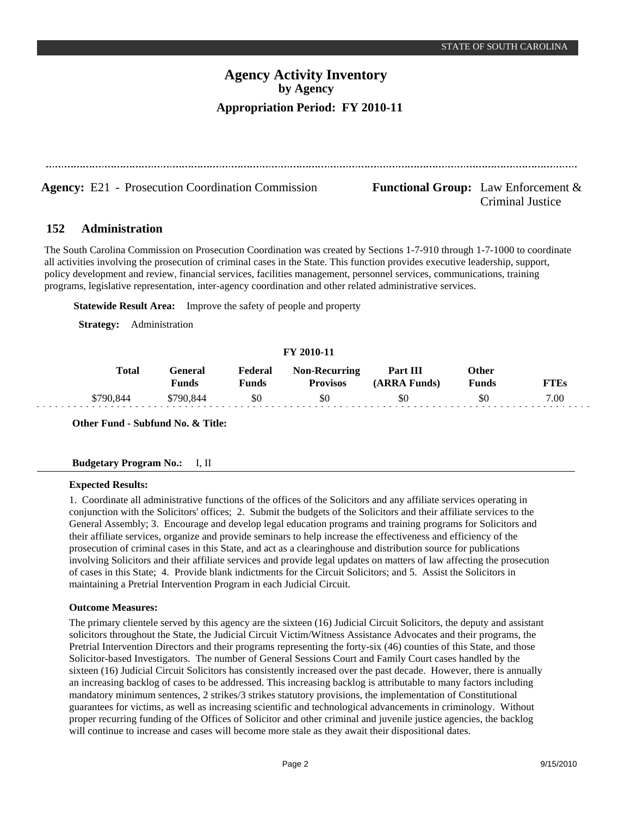Criminal Justice

# **Agency Activity Inventory by Agency Appropriation Period: FY 2010-11**

**Agency:** E21 - Prosecution Coordination Commission **Functional Group:** Law Enforcement &

#### **Administration 152**

The South Carolina Commission on Prosecution Coordination was created by Sections 1-7-910 through 1-7-1000 to coordinate all activities involving the prosecution of criminal cases in the State. This function provides executive leadership, support, policy development and review, financial services, facilities management, personnel services, communications, training programs, legislative representation, inter-agency coordination and other related administrative services.

**Statewide Result Area:** Improve the safety of people and property

**Strategy:** Administration

## **FY 2010-11**

| <b>Total</b> | General<br>Funds | Federal<br>Funds | <b>Non-Recurring</b><br><b>Provisos</b> | Part III<br>(ARRA Funds) | Other<br>Funds | <b>TTEs</b> |
|--------------|------------------|------------------|-----------------------------------------|--------------------------|----------------|-------------|
| \$790,844    | \$790.844        | \$0              | \$0                                     | \$0                      | SС             | 7.00        |

**Other Fund - Subfund No. & Title:**

#### **Budgetary Program No.:** I, II

#### **Expected Results:**

1. Coordinate all administrative functions of the offices of the Solicitors and any affiliate services operating in conjunction with the Solicitors' offices; 2. Submit the budgets of the Solicitors and their affiliate services to the General Assembly; 3. Encourage and develop legal education programs and training programs for Solicitors and their affiliate services, organize and provide seminars to help increase the effectiveness and efficiency of the prosecution of criminal cases in this State, and act as a clearinghouse and distribution source for publications involving Solicitors and their affiliate services and provide legal updates on matters of law affecting the prosecution of cases in this State; 4. Provide blank indictments for the Circuit Solicitors; and 5. Assist the Solicitors in maintaining a Pretrial Intervention Program in each Judicial Circuit.

#### **Outcome Measures:**

The primary clientele served by this agency are the sixteen (16) Judicial Circuit Solicitors, the deputy and assistant solicitors throughout the State, the Judicial Circuit Victim/Witness Assistance Advocates and their programs, the Pretrial Intervention Directors and their programs representing the forty-six (46) counties of this State, and those Solicitor-based Investigators. The number of General Sessions Court and Family Court cases handled by the sixteen (16) Judicial Circuit Solicitors has consistently increased over the past decade. However, there is annually an increasing backlog of cases to be addressed. This increasing backlog is attributable to many factors including mandatory minimum sentences, 2 strikes/3 strikes statutory provisions, the implementation of Constitutional guarantees for victims, as well as increasing scientific and technological advancements in criminology. Without proper recurring funding of the Offices of Solicitor and other criminal and juvenile justice agencies, the backlog will continue to increase and cases will become more stale as they await their dispositional dates.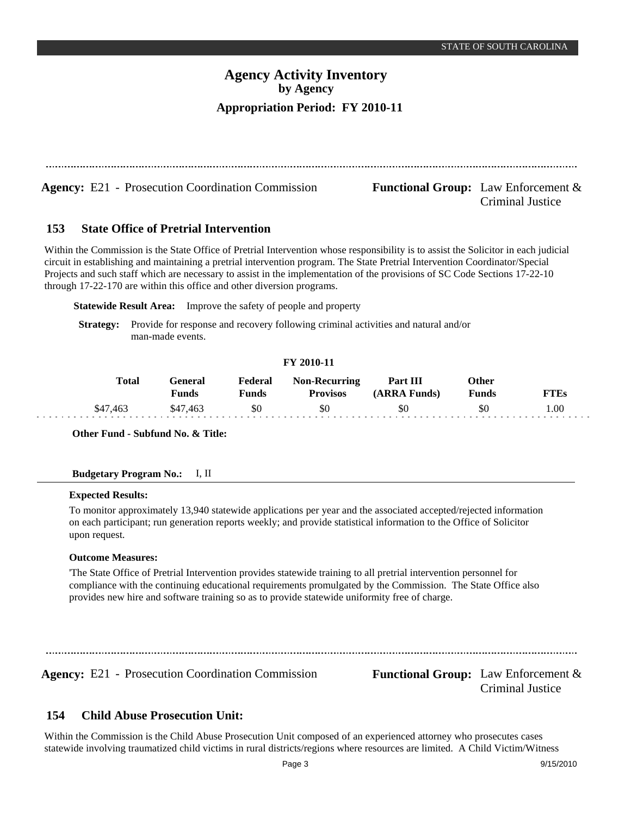# **Agency Activity Inventory by Agency Appropriation Period: FY 2010-11**

**Agency:** E21 - Prosecution Coordination Commission **Functional Group:** Law Enforcement & Criminal Justice

#### **State Office of Pretrial Intervention 153**

Within the Commission is the State Office of Pretrial Intervention whose responsibility is to assist the Solicitor in each judicial circuit in establishing and maintaining a pretrial intervention program. The State Pretrial Intervention Coordinator/Special Projects and such staff which are necessary to assist in the implementation of the provisions of SC Code Sections 17-22-10 through 17-22-170 are within this office and other diversion programs.

**Statewide Result Area:** Improve the safety of people and property

**Strategy:** Provide for response and recovery following criminal activities and natural and/or man-made events.

## **FY 2010-11**

| Total    | General<br><b>Funds</b> | Federal<br><b>Funds</b> | <b>Non-Recurring</b><br><b>Provisos</b> | Part III<br>(ARRA Funds) | Other<br><b>Funds</b> | FTEs |
|----------|-------------------------|-------------------------|-----------------------------------------|--------------------------|-----------------------|------|
| \$47,463 | \$47.463                | \$0                     | \$0                                     | \$0                      | \$0                   | .00. |

**Other Fund - Subfund No. & Title:**

#### **Budgetary Program No.:** I, II

#### **Expected Results:**

To monitor approximately 13,940 statewide applications per year and the associated accepted/rejected information on each participant; run generation reports weekly; and provide statistical information to the Office of Solicitor upon request.

#### **Outcome Measures:**

'The State Office of Pretrial Intervention provides statewide training to all pretrial intervention personnel for compliance with the continuing educational requirements promulgated by the Commission. The State Office also provides new hire and software training so as to provide statewide uniformity free of charge.

**Agency:** E21 - Prosecution Coordination Commission **Functional Group:** Law Enforcement &

Criminal Justice

#### **Child Abuse Prosecution Unit: 154**

Within the Commission is the Child Abuse Prosecution Unit composed of an experienced attorney who prosecutes cases statewide involving traumatized child victims in rural districts/regions where resources are limited. A Child Victim/Witness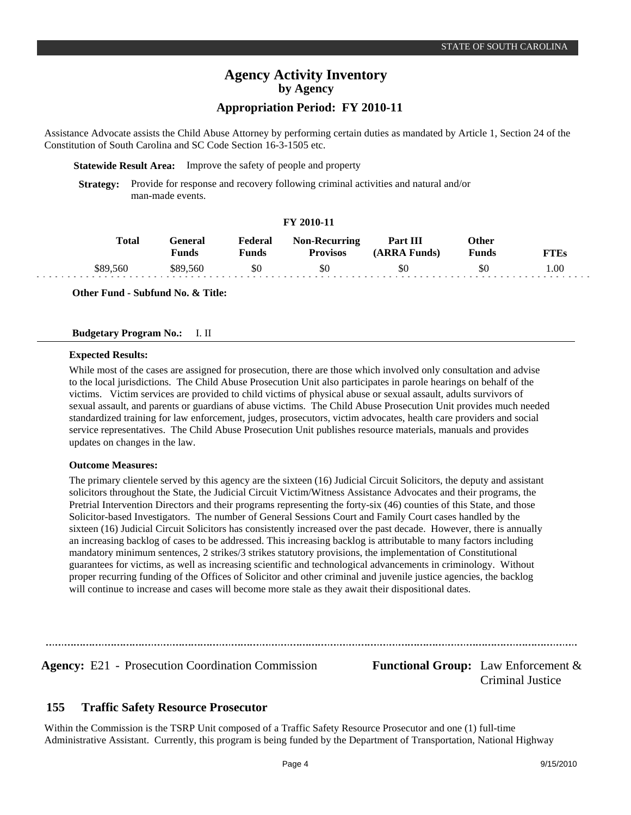# **Agency Activity Inventory by Agency**

## **Appropriation Period: FY 2010-11**

Assistance Advocate assists the Child Abuse Attorney by performing certain duties as mandated by Article 1, Section 24 of the Constitution of South Carolina and SC Code Section 16-3-1505 etc.

**Statewide Result Area:** Improve the safety of people and property

**Strategy:** Provide for response and recovery following criminal activities and natural and/or man-made events.

## **FY 2010-11**

| Total    | General<br>Funds | Federal<br>$\mathbf{v}_{\mathbf{unds}}$ | <b>Non-Recurring</b><br><b>Provisos</b> | Part III<br>(ARRA Funds) | Other<br>$F$ unds | T'TEs |
|----------|------------------|-----------------------------------------|-----------------------------------------|--------------------------|-------------------|-------|
| \$89,560 | \$89.560         | \$0                                     | \$0                                     | \$0                      | 80                | .00   |

**Other Fund - Subfund No. & Title:**

#### **Budgetary Program No.:** I. II

#### **Expected Results:**

While most of the cases are assigned for prosecution, there are those which involved only consultation and advise to the local jurisdictions. The Child Abuse Prosecution Unit also participates in parole hearings on behalf of the victims. Victim services are provided to child victims of physical abuse or sexual assault, adults survivors of sexual assault, and parents or guardians of abuse victims. The Child Abuse Prosecution Unit provides much needed standardized training for law enforcement, judges, prosecutors, victim advocates, health care providers and social service representatives. The Child Abuse Prosecution Unit publishes resource materials, manuals and provides updates on changes in the law.

#### **Outcome Measures:**

The primary clientele served by this agency are the sixteen (16) Judicial Circuit Solicitors, the deputy and assistant solicitors throughout the State, the Judicial Circuit Victim/Witness Assistance Advocates and their programs, the Pretrial Intervention Directors and their programs representing the forty-six (46) counties of this State, and those Solicitor-based Investigators. The number of General Sessions Court and Family Court cases handled by the sixteen (16) Judicial Circuit Solicitors has consistently increased over the past decade. However, there is annually an increasing backlog of cases to be addressed. This increasing backlog is attributable to many factors including mandatory minimum sentences, 2 strikes/3 strikes statutory provisions, the implementation of Constitutional guarantees for victims, as well as increasing scientific and technological advancements in criminology. Without proper recurring funding of the Offices of Solicitor and other criminal and juvenile justice agencies, the backlog will continue to increase and cases will become more stale as they await their dispositional dates.

**Agency:** E21 - Prosecution Coordination Commission **Functional Group:** Law Enforcement & Criminal Justice

#### **Traffic Safety Resource Prosecutor 155**

Within the Commission is the TSRP Unit composed of a Traffic Safety Resource Prosecutor and one (1) full-time Administrative Assistant. Currently, this program is being funded by the Department of Transportation, National Highway